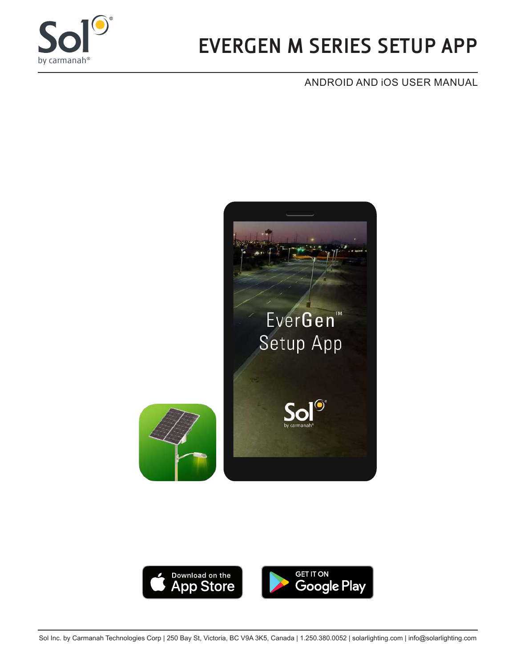

# **EVERGEN M SERIES SETUP APP**

#### ANDROID AND iOS USER MANUAL



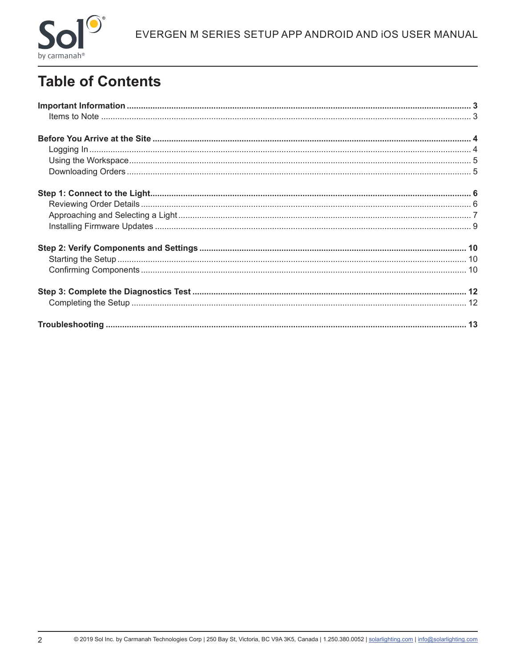

## **Table of Contents**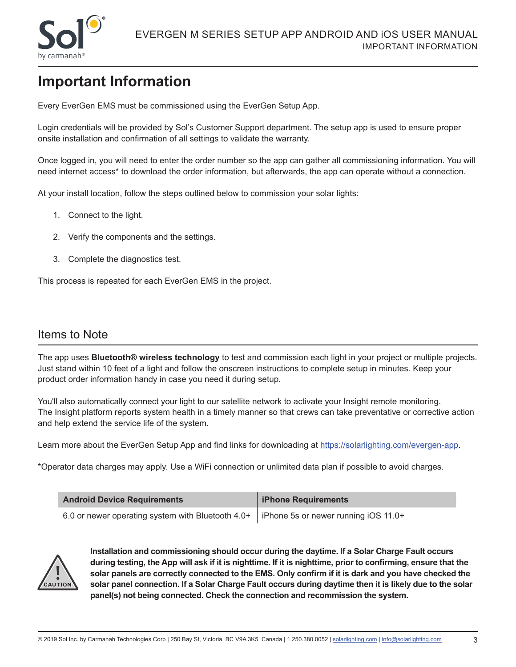

### **Important Information**

Every EverGen EMS must be commissioned using the EverGen Setup App.

Login credentials will be provided by Sol's Customer Support department. The setup app is used to ensure proper onsite installation and confirmation of all settings to validate the warranty.

Once logged in, you will need to enter the order number so the app can gather all commissioning information. You will need internet access\* to download the order information, but afterwards, the app can operate without a connection.

At your install location, follow the steps outlined below to commission your solar lights:

- 1. Connect to the light.
- 2. Verify the components and the settings.
- 3. Complete the diagnostics test.

This process is repeated for each EverGen EMS in the project.

#### Items to Note

The app uses **Bluetooth® wireless technology** to test and commission each light in your project or multiple projects. Just stand within 10 feet of a light and follow the onscreen instructions to complete setup in minutes. Keep your product order information handy in case you need it during setup.

You'll also automatically connect your light to our satellite network to activate your Insight remote monitoring. The Insight platform reports system health in a timely manner so that crews can take preventative or corrective action and help extend the service life of the system.

Learn more about the EverGen Setup App and find links for downloading at https://solarlighting.com/evergen-app.

\*Operator data charges may apply. Use a WiFi connection or unlimited data plan if possible to avoid charges.

| <b>Android Device Requirements</b>                                                      | iPhone Requirements |
|-----------------------------------------------------------------------------------------|---------------------|
| 6.0 or newer operating system with Bluetooth 4.0+ FiPhone 5s or newer running iOS 11.0+ |                     |



**Installation and commissioning should occur during the daytime. If a Solar Charge Fault occurs during testing, the App will ask if it is nighttime. If it is nighttime, prior to confirming, ensure that the solar panels are correctly connected to the EMS. Only confirm if it is dark and you have checked the solar panel connection. If a Solar Charge Fault occurs during daytime then it is likely due to the solar panel(s) not being connected. Check the connection and recommission the system.**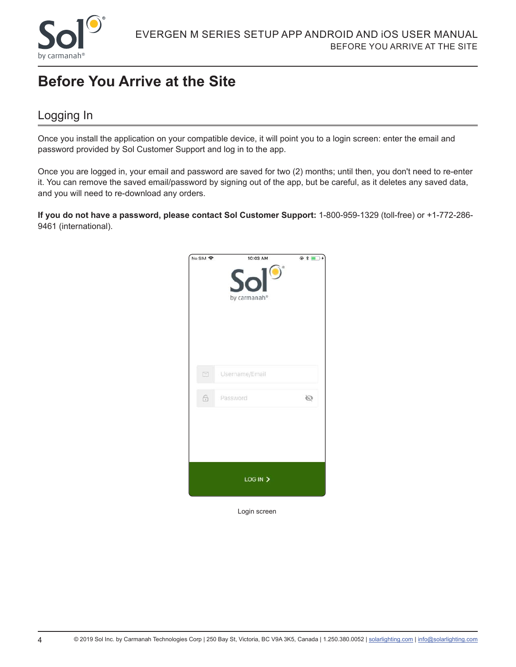

### **Before You Arrive at the Site**

#### Logging In

Once you install the application on your compatible device, it will point you to a login screen: enter the email and password provided by Sol Customer Support and log in to the app.

Once you are logged in, your email and password are saved for two (2) months; until then, you don't need to re-enter it. You can remove the saved email/password by signing out of the app, but be careful, as it deletes any saved data, and you will need to re-download any orders.

**If you do not have a password, please contact Sol Customer Support:** 1-800-959-1329 (toll-free) or +1-772-286- 9461 (international).



Login screen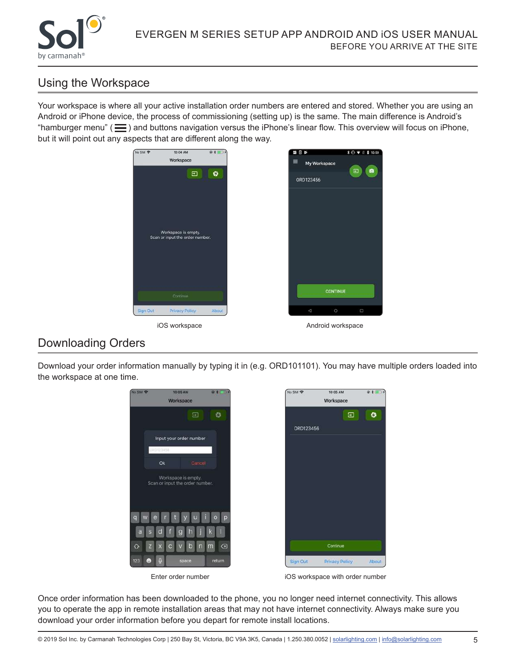

#### Using the Workspace

Your workspace is where all your active installation order numbers are entered and stored. Whether you are using an Android or iPhone device, the process of commissioning (setting up) is the same. The main difference is Android's "hamburger menu" ( $\equiv$ ) and buttons navigation versus the iPhone's linear flow. This overview will focus on iPhone, but it will point out any aspects that are different along the way.



#### Downloading Orders

Download your order information manually by typing it in (e.g. ORD101101). You may have multiple orders loaded into the workspace at one time.

 $@*$ 

Ø

About



Once order information has been downloaded to the phone, you no longer need internet connectivity. This allows you to operate the app in remote installation areas that may not have internet connectivity. Always make sure you download your order information before you depart for remote install locations.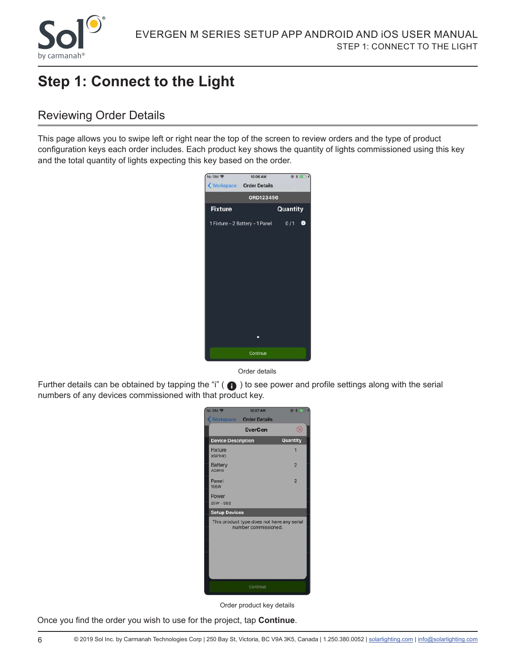

### **Step 1: Connect to the Light**

#### Reviewing Order Details

This page allows you to swipe left or right near the top of the screen to review orders and the type of product configuration keys each order includes. Each product key shows the quantity of lights commissioned using this key and the total quantity of lights expecting this key based on the order.



Order details

Further details can be obtained by tapping the "i" ( $\bigcap$ ) to see power and profile settings along with the serial numbers of any devices commissioned with that product key.



Order product key details

Once you find the order you wish to use for the project, tap **Continue**.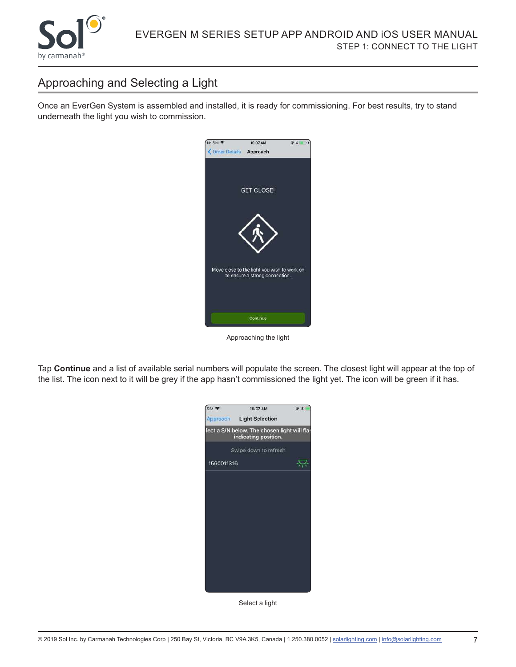

#### Approaching and Selecting a Light

Once an EverGen System is assembled and installed, it is ready for commissioning. For best results, try to stand underneath the light you wish to commission.



Approaching the light

Tap **Continue** and a list of available serial numbers will populate the screen. The closest light will appear at the top of the list. The icon next to it will be grey if the app hasn't commissioned the light yet. The icon will be green if it has.



Select a light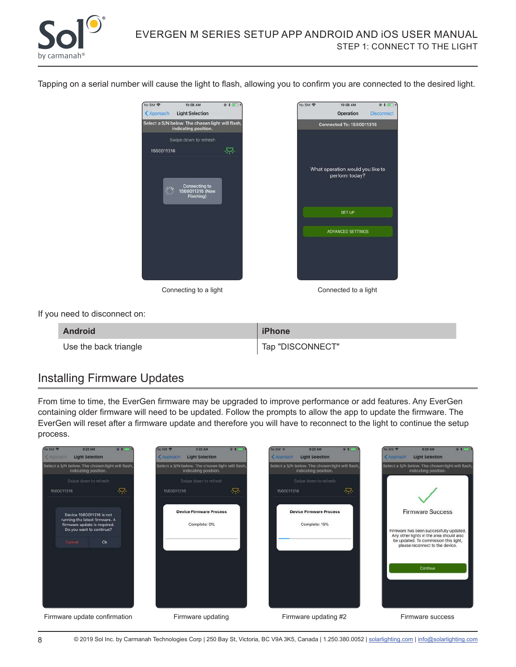

Tapping on a serial number will cause the light to flash, allowing you to confirm you are connected to the desired light.



Connecting to a light Connected to a light

SET UP

10:08 AM

Operation

 $@11$ 

Disconnect

If you need to disconnect on:

| <b>Android</b>        | iPhone           |
|-----------------------|------------------|
| Use the back triangle | Tap "DISCONNECT" |

#### Installing Firmware Updates

From time to time, the EverGen firmware may be upgraded to improve performance or add features. Any EverGen containing older firmware will need to be updated. Follow the prompts to allow the app to update the firmware. The EverGen will reset after a firmware update and therefore you will have to reconnect to the light to continue the setup process.



8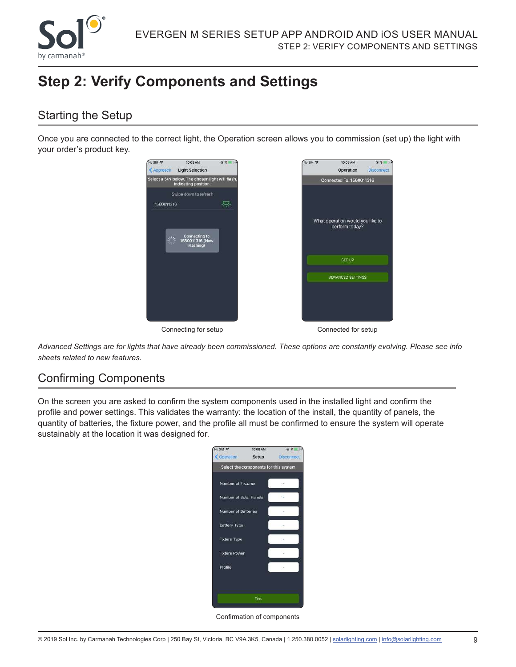

### **Step 2: Verify Components and Settings**

#### Starting the Setup

Once you are connected to the correct light, the Operation screen allows you to commission (set up) the light with your order's product key.



*Advanced Settings are for lights that have already been commissioned. These options are constantly evolving. Please see info sheets related to new features.* 

#### Confirming Components

On the screen you are asked to confirm the system components used in the installed light and confirm the profile and power settings. This validates the warranty: the location of the install, the quantity of panels, the quantity of batteries, the fixture power, and the profile all must be confirmed to ensure the system will operate sustainably at the location it was designed for.

| 10:08 AM |                                                                                                                     |
|----------|---------------------------------------------------------------------------------------------------------------------|
| Setup    | Disconnect                                                                                                          |
|          |                                                                                                                     |
|          |                                                                                                                     |
|          |                                                                                                                     |
|          |                                                                                                                     |
|          |                                                                                                                     |
|          |                                                                                                                     |
|          |                                                                                                                     |
|          |                                                                                                                     |
|          |                                                                                                                     |
| Test     |                                                                                                                     |
|          | Select the components for this system<br>Number of Fixtures<br>Number of Solar Panels<br><b>Number of Batteries</b> |

Confirmation of components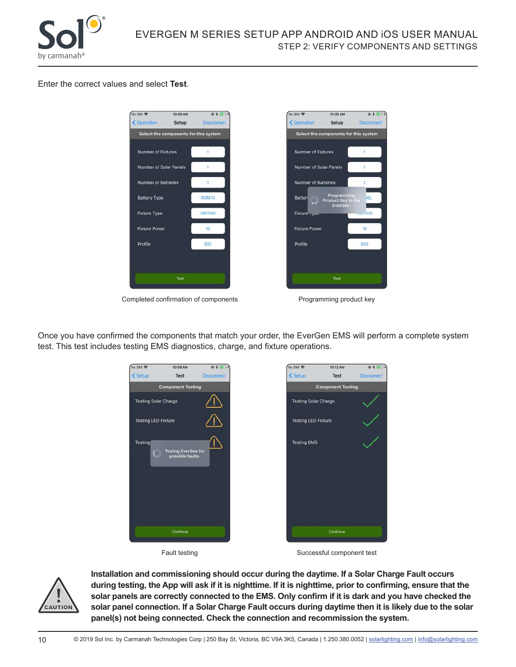

#### Enter the correct values and select **Test**.



Completed confirmation of components **Programming product key** 



Once you have confirmed the components that match your order, the EverGen EMS will perform a complete system test. This test includes testing EMS diagnostics, charge, and fixture operations.





Fault testing **Successful component test** 



**Installation and commissioning should occur during the daytime. If a Solar Charge Fault occurs during testing, the App will ask if it is nighttime. If it is nighttime, prior to confirming, ensure that the solar panels are correctly connected to the EMS. Only confirm if it is dark and you have checked the solar panel connection. If a Solar Charge Fault occurs during daytime then it is likely due to the solar panel(s) not being connected. Check the connection and recommission the system.**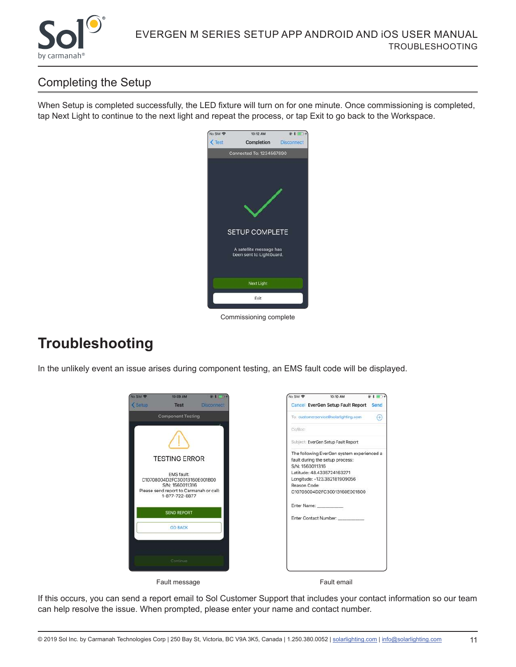

### Completing the Setup

When Setup is completed successfully, the LED fixture will turn on for one minute. Once commissioning is completed, tap Next Light to continue to the next light and repeat the process, or tap Exit to go back to the Workspace.



Commissioning complete

### **Troubleshooting**

In the unlikely event an issue arises during component testing, an EMS fault code will be displayed.



If this occurs, you can send a report email to Sol Customer Support that includes your contact information so our team can help resolve the issue. When prompted, please enter your name and contact number.